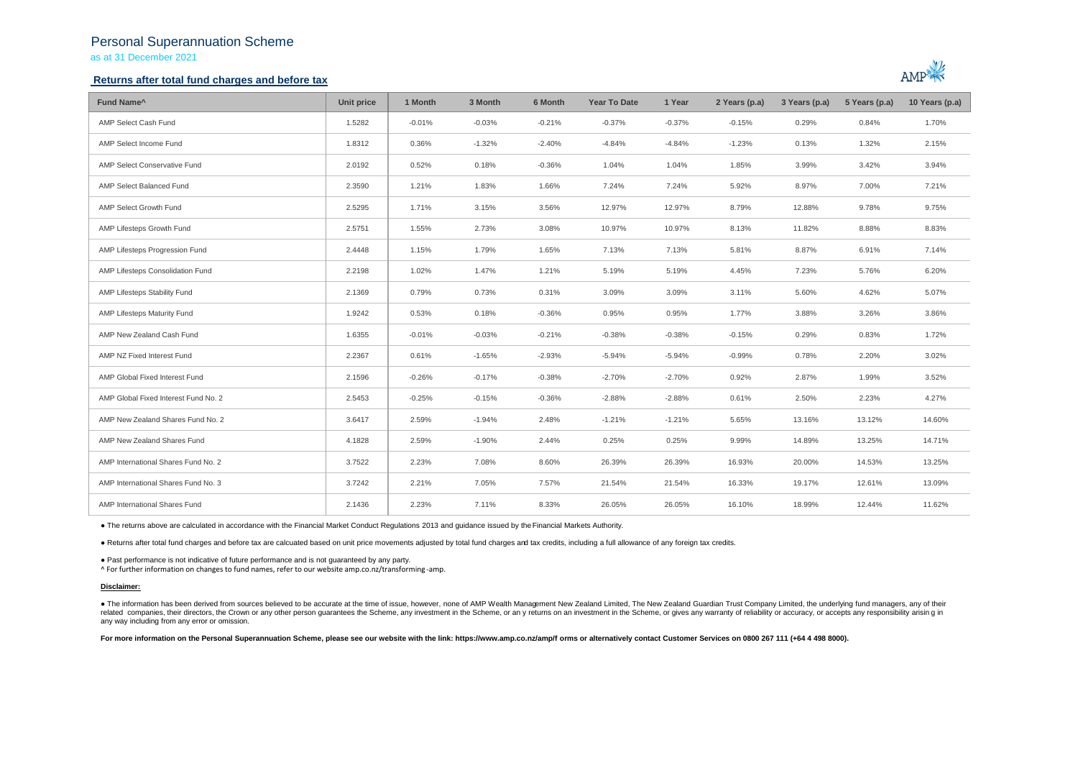## Personal Superannuation Scheme

as at 31 December 2021

## **Returns after total fund charges and before tax**



| Fund Name <sup>^</sup>               | <b>Unit price</b> | 1 Month  | 3 Month  | 6 Month  | <b>Year To Date</b> | 1 Year   | 2 Years (p.a) | 3 Years (p.a) | 5 Years (p.a) | 10 Years (p.a) |
|--------------------------------------|-------------------|----------|----------|----------|---------------------|----------|---------------|---------------|---------------|----------------|
| AMP Select Cash Fund                 | 1.5282            | $-0.01%$ | $-0.03%$ | $-0.21%$ | $-0.37%$            | $-0.37%$ | $-0.15%$      | 0.29%         | 0.84%         | 1.70%          |
| AMP Select Income Fund               | 1.8312            | 0.36%    | $-1.32%$ | $-2.40%$ | $-4.84%$            | $-4.84%$ | $-1.23%$      | 0.13%         | 1.32%         | 2.15%          |
| AMP Select Conservative Fund         | 2.0192            | 0.52%    | 0.18%    | $-0.36%$ | 1.04%               | 1.04%    | 1.85%         | 3.99%         | 3.42%         | 3.94%          |
| AMP Select Balanced Fund             | 2.3590            | 1.21%    | 1.83%    | 1.66%    | 7.24%               | 7.24%    | 5.92%         | 8.97%         | 7.00%         | 7.21%          |
| AMP Select Growth Fund               | 2.5295            | 1.71%    | 3.15%    | 3.56%    | 12.97%              | 12.97%   | 8.79%         | 12.88%        | 9.78%         | 9.75%          |
| AMP Lifesteps Growth Fund            | 2.5751            | 1.55%    | 2.73%    | 3.08%    | 10.97%              | 10.97%   | 8.13%         | 11.82%        | 8.88%         | 8.83%          |
| AMP Lifesteps Progression Fund       | 2.4448            | 1.15%    | 1.79%    | 1.65%    | 7.13%               | 7.13%    | 5.81%         | 8.87%         | 6.91%         | 7.14%          |
| AMP Lifesteps Consolidation Fund     | 2.2198            | 1.02%    | 1.47%    | 1.21%    | 5.19%               | 5.19%    | 4.45%         | 7.23%         | 5.76%         | 6.20%          |
| AMP Lifesteps Stability Fund         | 2.1369            | 0.79%    | 0.73%    | 0.31%    | 3.09%               | 3.09%    | 3.11%         | 5.60%         | 4.62%         | 5.07%          |
| AMP Lifesteps Maturity Fund          | 1.9242            | 0.53%    | 0.18%    | $-0.36%$ | 0.95%               | 0.95%    | 1.77%         | 3.88%         | 3.26%         | 3.86%          |
| AMP New Zealand Cash Fund            | 1.6355            | $-0.01%$ | $-0.03%$ | $-0.21%$ | $-0.38%$            | $-0.38%$ | $-0.15%$      | 0.29%         | 0.83%         | 1.72%          |
| AMP NZ Fixed Interest Fund           | 2.2367            | 0.61%    | $-1.65%$ | $-2.93%$ | $-5.94%$            | $-5.94%$ | $-0.99%$      | 0.78%         | 2.20%         | 3.02%          |
| AMP Global Fixed Interest Fund       | 2.1596            | $-0.26%$ | $-0.17%$ | $-0.38%$ | $-2.70%$            | $-2.70%$ | 0.92%         | 2.87%         | 1.99%         | 3.52%          |
| AMP Global Fixed Interest Fund No. 2 | 2.5453            | $-0.25%$ | $-0.15%$ | $-0.36%$ | $-2.88%$            | $-2.88%$ | 0.61%         | 2.50%         | 2.23%         | 4.27%          |
| AMP New Zealand Shares Fund No. 2    | 3.6417            | 2.59%    | $-1.94%$ | 2.48%    | $-1.21%$            | $-1.21%$ | 5.65%         | 13.16%        | 13.12%        | 14.60%         |
| AMP New Zealand Shares Fund          | 4.1828            | 2.59%    | $-1.90%$ | 2.44%    | 0.25%               | 0.25%    | 9.99%         | 14.89%        | 13.25%        | 14.71%         |
| AMP International Shares Fund No. 2  | 3.7522            | 2.23%    | 7.08%    | 8.60%    | 26.39%              | 26.39%   | 16.93%        | 20.00%        | 14.53%        | 13.25%         |
| AMP International Shares Fund No. 3  | 3.7242            | 2.21%    | 7.05%    | 7.57%    | 21.54%              | 21.54%   | 16.33%        | 19.17%        | 12.61%        | 13.09%         |
| AMP International Shares Fund        | 2.1436            | 2.23%    | 7.11%    | 8.33%    | 26.05%              | 26.05%   | 16.10%        | 18.99%        | 12.44%        | 11.62%         |

● The returns above are calculated in accordance with the Financial Market Conduct Regulations 2013 and guidance issued by the Financial Markets Authority.

● Returns after total fund charges and before tax are calcuated based on unit price movements adjusted by total fund charges and tax credits, including a full allowance of any foreign tax credits.

● Past performance is not indicative of future performance and is not guaranteed by any party.

^ For further information on changes to fund names, refer to our website amp.co.nz/transforming -amp.

### **Disclaimer:**

. The information has been derived from sources believed to be accurate at the time of issue, however, none of AMP Wealth Management New Zealand Limited, The New Zealand Guardian Trust Company Limited, the underlying fund related companies, their directors, the Crown or any other person quarantees the Scheme, any investment in the Scheme, or any returns on an investment in the Scheme, or gives any warranty of reliability or accuracy, or acc any way including from any error or omission.

For more information on the Personal Superannuation Scheme, please see our website with the link: https://www.amp.co.nz/amp/f orms or alternatively contact Customer Services on 0800 267 111 (+64 4 498 8000).